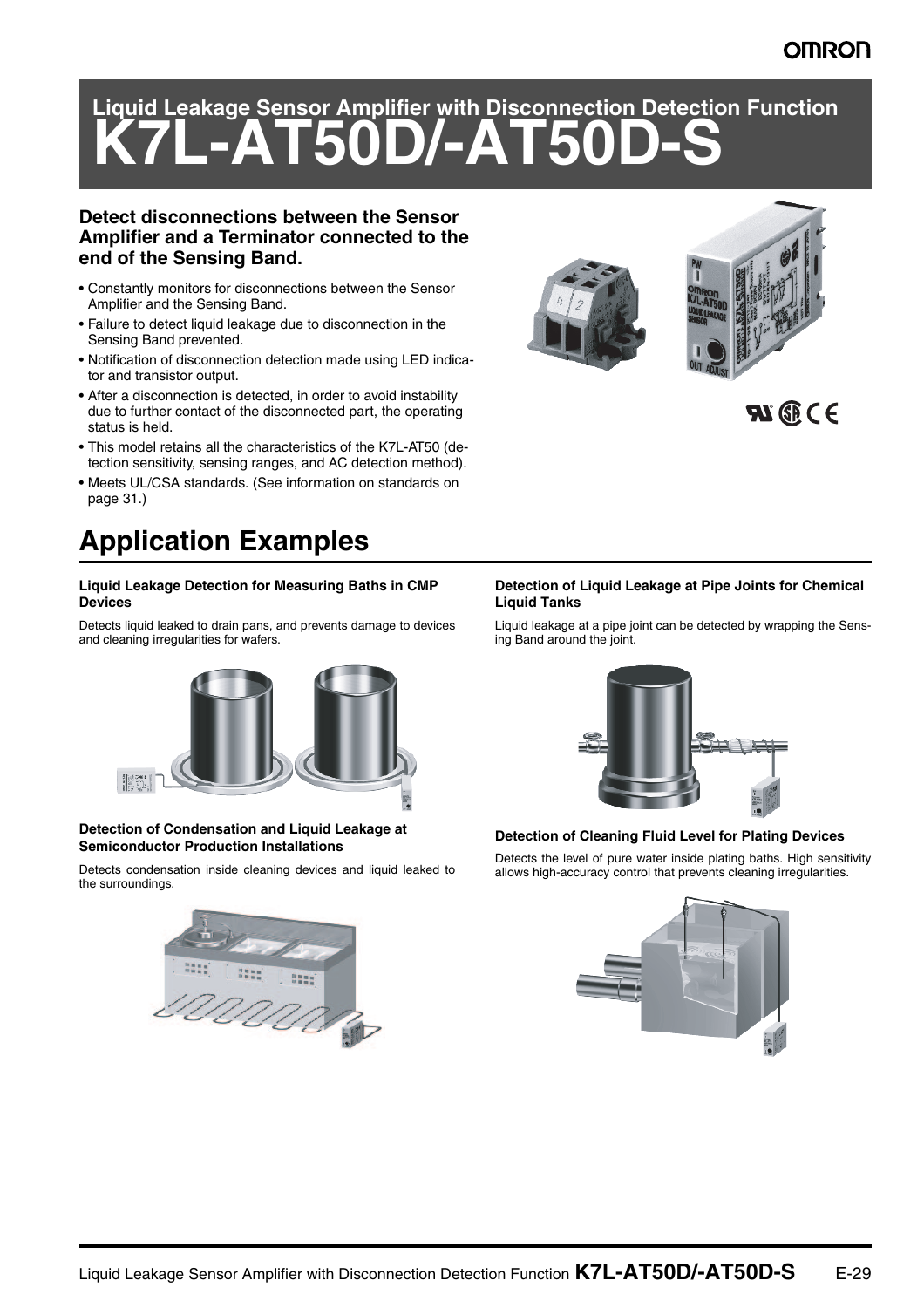## **OMRON**

# **Liquid Leakage Sensor Amplifier with Disconnection Detection Function K7L-AT50D/-AT50D-S**

### **Detect disconnections between the Sensor Amplifier and a Terminator connected to the end of the Sensing Band.**

- Constantly monitors for disconnections between the Sensor Amplifier and the Sensing Band.
- Failure to detect liquid leakage due to disconnection in the Sensing Band prevented.
- Notification of disconnection detection made using LED indicator and transistor output.
- After a disconnection is detected, in order to avoid instability due to further contact of the disconnected part, the operating status is held.
- This model retains all the characteristics of the K7L-AT50 (detection sensitivity, sensing ranges, and AC detection method).
- Meets UL/CSA standards. (See information on standards on page 31.)

# **Application Examples**

#### **Liquid Leakage Detection for Measuring Baths in CMP Devices**

Detects liquid leaked to drain pans, and prevents damage to devices and cleaning irregularities for wafers.



#### **Detection of Condensation and Liquid Leakage at Semiconductor Production Installations**

Detects condensation inside cleaning devices and liquid leaked to the surroundings.



#### **Detection of Liquid Leakage at Pipe Joints for Chemical Liquid Tanks**

Liquid leakage at a pipe joint can be detected by wrapping the Sensing Band around the joint.



#### **Detection of Cleaning Fluid Level for Plating Devices**

Detects the level of pure water inside plating baths. High sensitivity allows high-accuracy control that prevents cleaning irregularities.





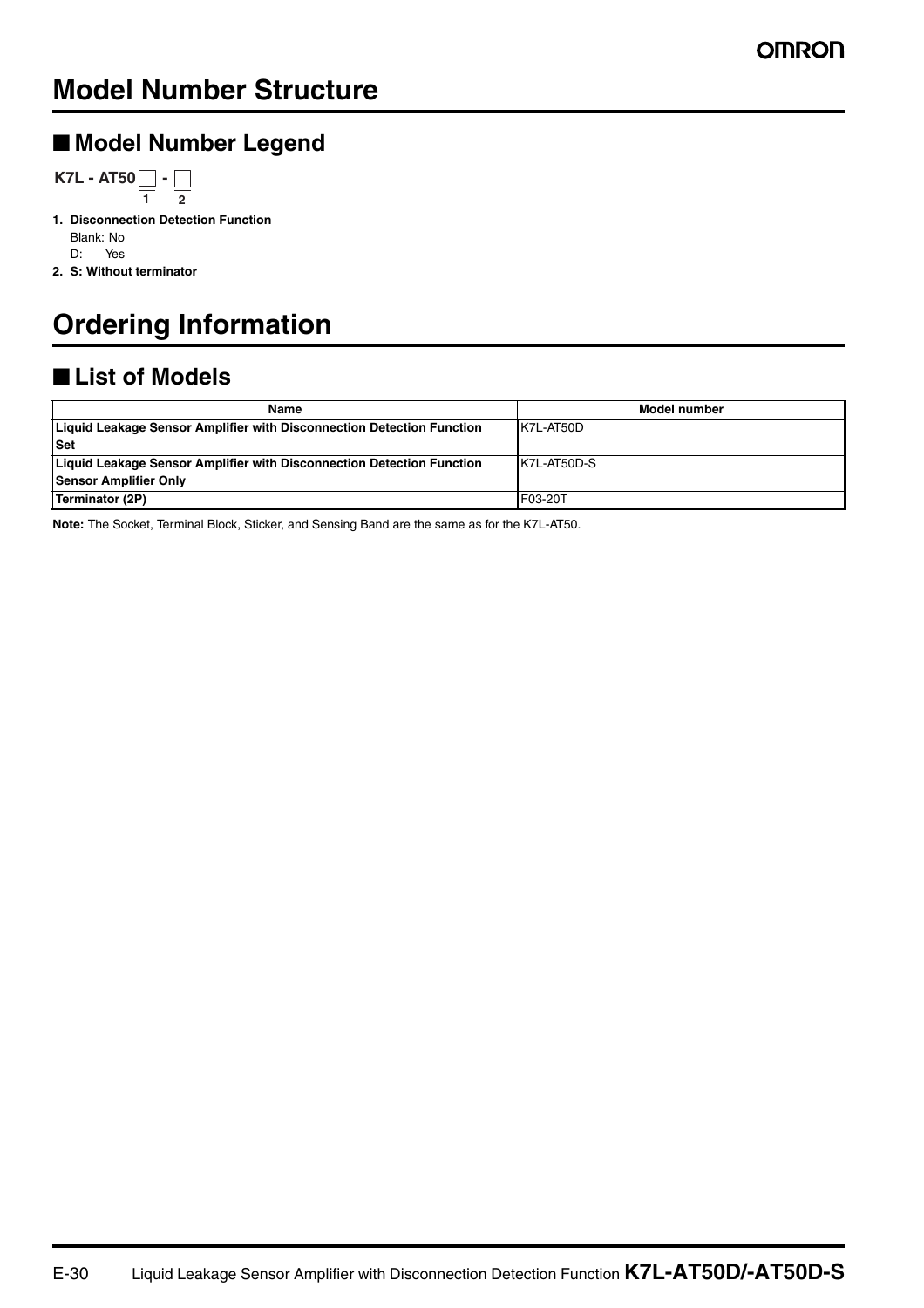# **Model Number Structure**

## ■ **Model Number Legend**

**K7L - AT50** $\bigsqcup$  **-1 2**

**1. Disconnection Detection Function** Blank: No D: Yes

**2. S: Without terminator**

# **Ordering Information**

# ■ **List of Models**

| Name                                                                  | Model number |
|-----------------------------------------------------------------------|--------------|
| Liquid Leakage Sensor Amplifier with Disconnection Detection Function | K7L-AT50D    |
| <b>Set</b>                                                            |              |
| Liquid Leakage Sensor Amplifier with Disconnection Detection Function | K7L-AT50D-S  |
| <b>Sensor Amplifier Only</b>                                          |              |
| Terminator (2P)                                                       | F03-20T      |

**Note:** The Socket, Terminal Block, Sticker, and Sensing Band are the same as for the K7L-AT50.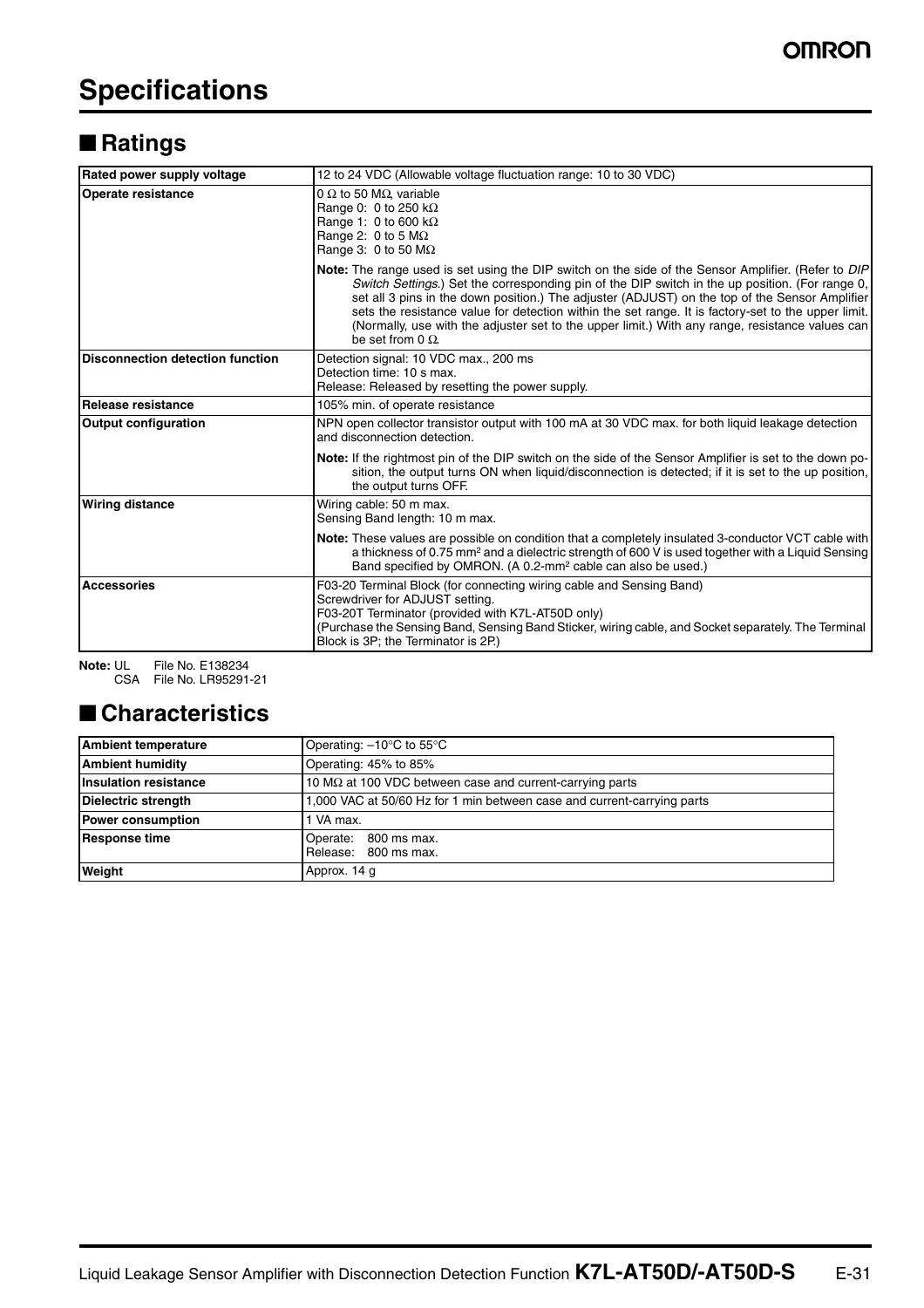# **Specifications**

# ■ **Ratings**

| Rated power supply voltage              | 12 to 24 VDC (Allowable voltage fluctuation range: 10 to 30 VDC)                                                                                                                                                                                                                                                                                                                                                                                                                                                                             |  |
|-----------------------------------------|----------------------------------------------------------------------------------------------------------------------------------------------------------------------------------------------------------------------------------------------------------------------------------------------------------------------------------------------------------------------------------------------------------------------------------------------------------------------------------------------------------------------------------------------|--|
| <b>Operate resistance</b>               | 0 $\Omega$ to 50 M $\Omega$ , variable<br>Range 0: 0 to 250 $k\Omega$<br>Range 1: 0 to 600 k $\Omega$<br>Range 2: 0 to 5 $M\Omega$<br>Range 3: 0 to 50 $M\Omega$                                                                                                                                                                                                                                                                                                                                                                             |  |
|                                         | Note: The range used is set using the DIP switch on the side of the Sensor Amplifier. (Refer to DIP<br>Switch Settings.) Set the corresponding pin of the DIP switch in the up position. (For range 0,<br>set all 3 pins in the down position.) The adjuster (ADJUST) on the top of the Sensor Amplifier<br>sets the resistance value for detection within the set range. It is factory-set to the upper limit.<br>(Normally, use with the adjuster set to the upper limit.) With any range, resistance values can<br>be set from $0 \Omega$ |  |
| <b>Disconnection detection function</b> | Detection signal: 10 VDC max., 200 ms<br>Detection time: 10 s max.<br>Release: Released by resetting the power supply.                                                                                                                                                                                                                                                                                                                                                                                                                       |  |
| Release resistance                      | 105% min. of operate resistance                                                                                                                                                                                                                                                                                                                                                                                                                                                                                                              |  |
| <b>Output configuration</b>             | NPN open collector transistor output with 100 mA at 30 VDC max. for both liquid leakage detection<br>and disconnection detection.                                                                                                                                                                                                                                                                                                                                                                                                            |  |
|                                         | Note: If the rightmost pin of the DIP switch on the side of the Sensor Amplifier is set to the down po-<br>sition, the output turns ON when liquid/disconnection is detected; if it is set to the up position,<br>the output turns OFF.                                                                                                                                                                                                                                                                                                      |  |
| <b>Wiring distance</b>                  | Wiring cable: 50 m max.<br>Sensing Band length: 10 m max.                                                                                                                                                                                                                                                                                                                                                                                                                                                                                    |  |
|                                         | Note: These values are possible on condition that a completely insulated 3-conductor VCT cable with<br>a thickness of 0.75 mm <sup>2</sup> and a dielectric strength of 600 V is used together with a Liquid Sensing<br>Band specified by OMRON. (A 0.2-mm <sup>2</sup> cable can also be used.)                                                                                                                                                                                                                                             |  |
| <b>Accessories</b>                      | F03-20 Terminal Block (for connecting wiring cable and Sensing Band)<br>Screwdriver for ADJUST setting.<br>F03-20T Terminator (provided with K7L-AT50D only)<br>(Purchase the Sensing Band, Sensing Band Sticker, wiring cable, and Socket separately. The Terminal<br>Block is 3P; the Terminator is 2P.)                                                                                                                                                                                                                                   |  |

**Note:** UL File No. E138234 CSA File No. LR95291-21

# ■ **Characteristics**

| <b>Ambient temperature</b>   | Operating: -10°C to 55°C                                                |  |
|------------------------------|-------------------------------------------------------------------------|--|
| <b>Ambient humidity</b>      | Operating: 45% to 85%                                                   |  |
| <b>Insulation resistance</b> | 10 $\text{M}\Omega$ at 100 VDC between case and current-carrying parts  |  |
| <b>Dielectric strength</b>   | 1,000 VAC at 50/60 Hz for 1 min between case and current-carrying parts |  |
| <b>Power consumption</b>     | 1 VA max.                                                               |  |
| <b>Response time</b>         | Operate: 800 ms max.<br>Release: 800 ms max.                            |  |
| Weight                       | Approx. 14 g                                                            |  |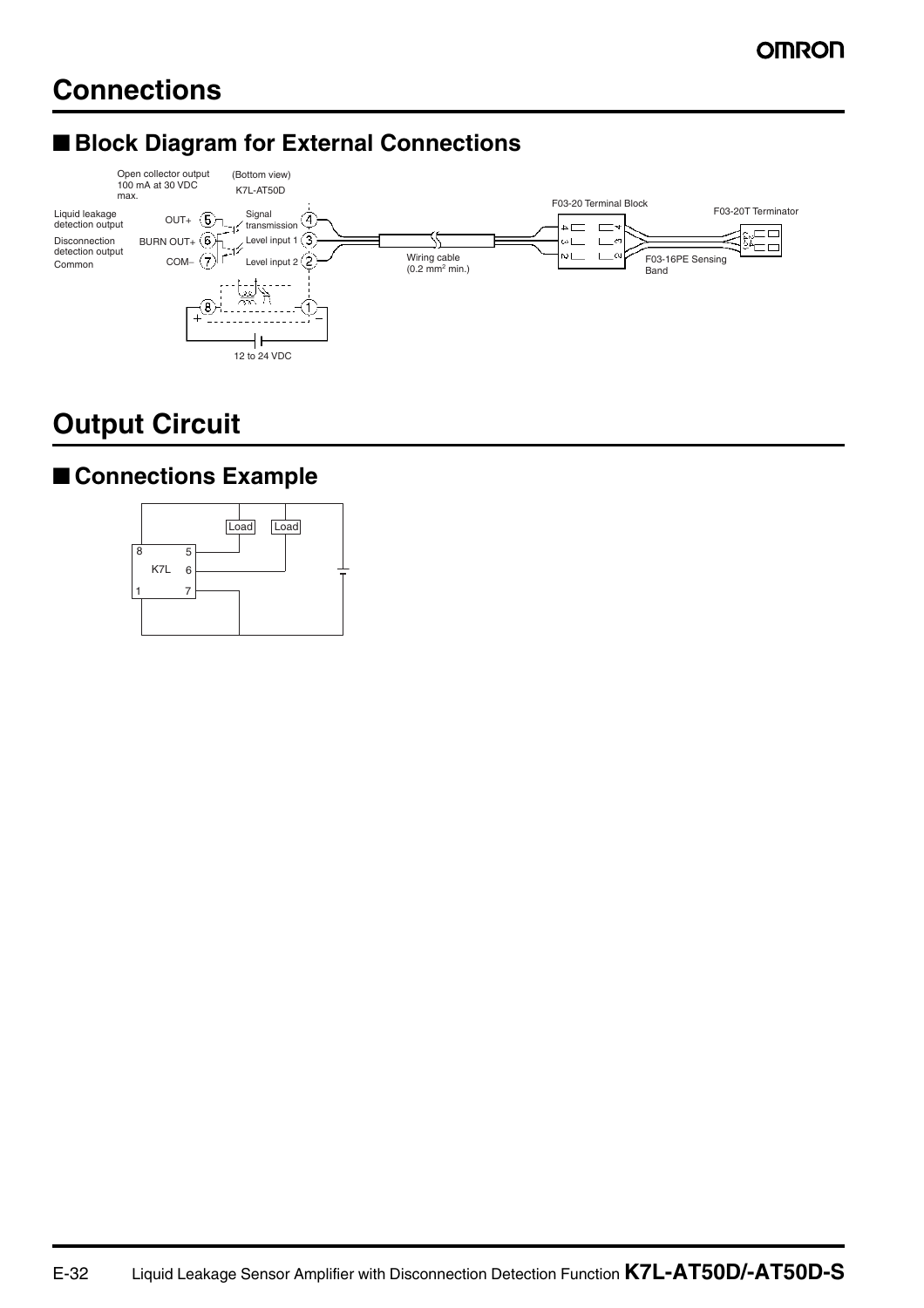# ■ **Block Diagram for External Connections**



# **Output Circuit**

# ■ **Connections Example**

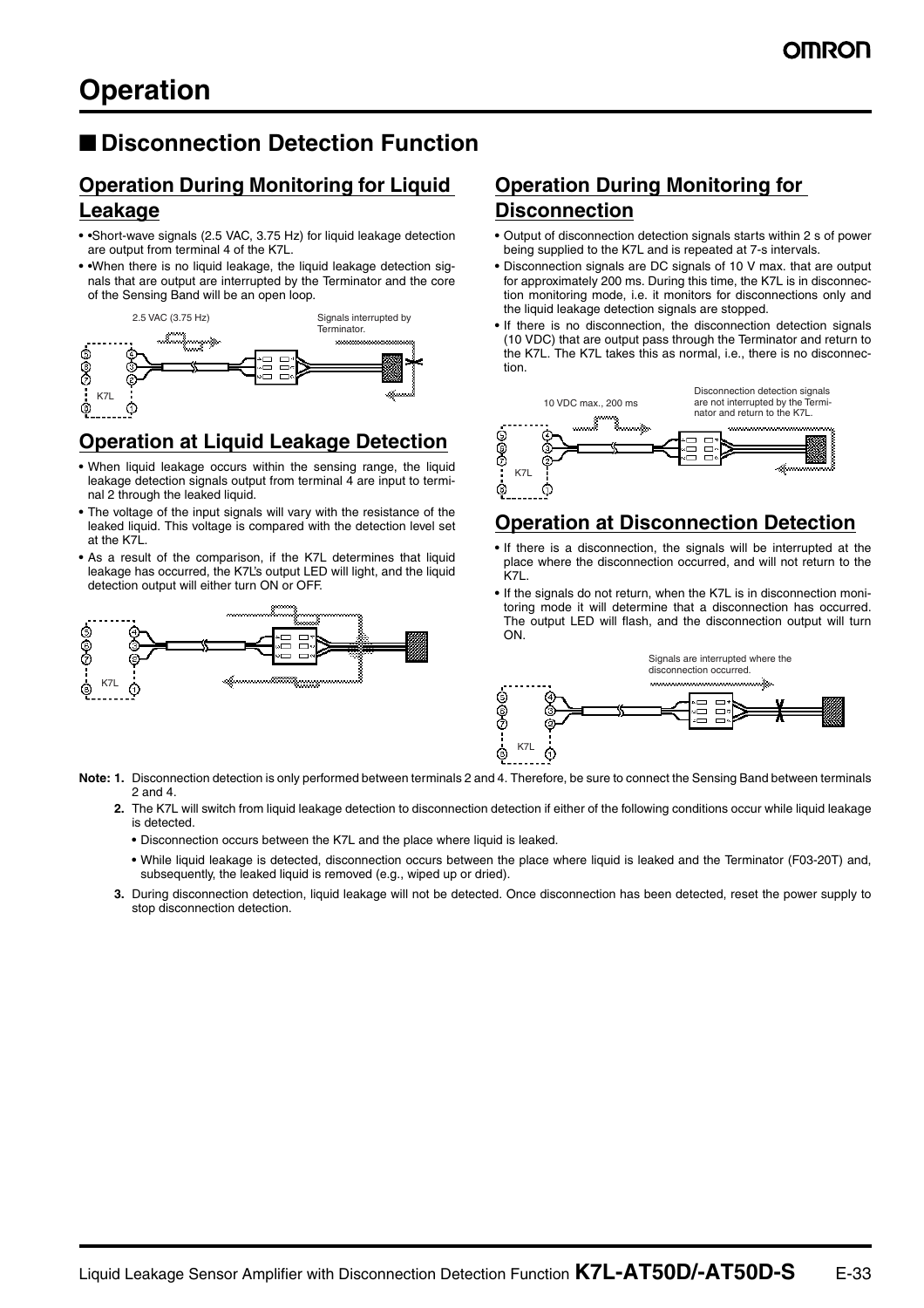## ■ **Disconnection Detection Function**

### **Operation During Monitoring for Liquid Leakage**

- **•** •Short-wave signals (2.5 VAC, 3.75 Hz) for liquid leakage detection are output from terminal 4 of the K7L.
- **•** •When there is no liquid leakage, the liquid leakage detection signals that are output are interrupted by the Terminator and the core of the Sensing Band will be an open loop.



## **Operation at Liquid Leakage Detection**

- **•** When liquid leakage occurs within the sensing range, the liquid leakage detection signals output from terminal 4 are input to terminal 2 through the leaked liquid.
- **•** The voltage of the input signals will vary with the resistance of the leaked liquid. This voltage is compared with the detection level set at the K7L.
- **•** As a result of the comparison, if the K7L determines that liquid leakage has occurred, the K7L's output LED will light, and the liquid detection output will either turn ON or OFF.



#### **Note: 1.** Disconnection detection is only performed between terminals 2 and 4. Therefore, be sure to connect the Sensing Band between terminals 2 and 4.

- **2.** The K7L will switch from liquid leakage detection to disconnection detection if either of the following conditions occur while liquid leakage is detected.
	- **•** Disconnection occurs between the K7L and the place where liquid is leaked.
	- **•** While liquid leakage is detected, disconnection occurs between the place where liquid is leaked and the Terminator (F03-20T) and, subsequently, the leaked liquid is removed (e.g., wiped up or dried).
- **3.** During disconnection detection, liquid leakage will not be detected. Once disconnection has been detected, reset the power supply to stop disconnection detection.

### **Operation During Monitoring for Disconnection**

- **•** Output of disconnection detection signals starts within 2 s of power being supplied to the K7L and is repeated at 7-s intervals.
- **•** Disconnection signals are DC signals of 10 V max. that are output for approximately 200 ms. During this time, the K7L is in disconnection monitoring mode, i.e. it monitors for disconnections only and the liquid leakage detection signals are stopped.
- **•** If there is no disconnection, the disconnection detection signals (10 VDC) that are output pass through the Terminator and return to the K7L. The K7L takes this as normal, i.e., there is no disconnection.



### **Operation at Disconnection Detection**

- **•** If there is a disconnection, the signals will be interrupted at the place where the disconnection occurred, and will not return to the K7L.
- **•** If the signals do not return, when the K7L is in disconnection monitoring mode it will determine that a disconnection has occurred. The output LED will flash, and the disconnection output will turn ON.

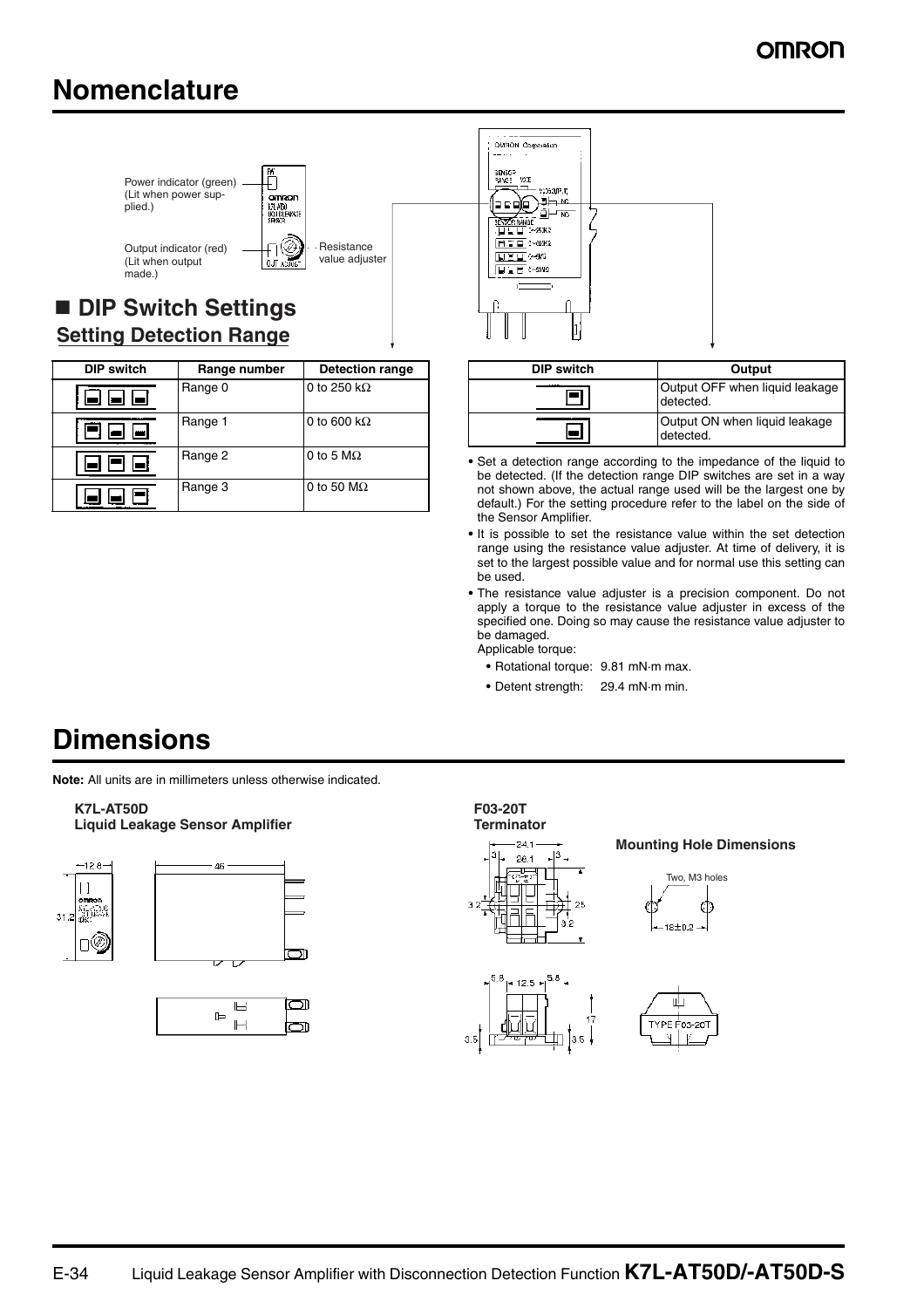# **Nomenclature**



# **Setting Detection Range**

| <b>DIP switch</b> | Range number | <b>Detection range</b>   |
|-------------------|--------------|--------------------------|
|                   | Range 0      | 0 to 250 k $\Omega$      |
| <b>CONTRACT</b>   | Range 1      | 0 to 600 k $\Omega$      |
|                   | Range 2      | 0 to 5 $M\Omega$         |
|                   | Range 3      | 0 to 50 $\text{M}\Omega$ |



| DIP switch | Output                                      |  |
|------------|---------------------------------------------|--|
|            | Output OFF when liquid leakage<br>detected. |  |
|            | Output ON when liquid leakage<br>detected.  |  |

- **•** Set a detection range according to the impedance of the liquid to be detected. (If the detection range DIP switches are set in a way not shown above, the actual range used will be the largest one by default.) For the setting procedure refer to the label on the side of the Sensor Amplifier.
- **•** It is possible to set the resistance value within the set detection range using the resistance value adjuster. At time of delivery, it is set to the largest possible value and for normal use this setting can be used.
- **•** The resistance value adjuster is a precision component. Do not apply a torque to the resistance value adjuster in excess of the specified one. Doing so may cause the resistance value adjuster to be damaged.
- Applicable torque:
- **•** Rotational torque: 9.81 mN·m max.
- **•** Detent strength: 29.4 mN·m min.

# **Dimensions**

**Note:** All units are in millimeters unless otherwise indicated.

**K7L-AT50D Liquid Leakage Sensor Amplifier**







#### **F03-20T Terminator**



 $5.8$  $12.5 +$ 

35

#### **Mounting Hole Dimensions**





 $3.5$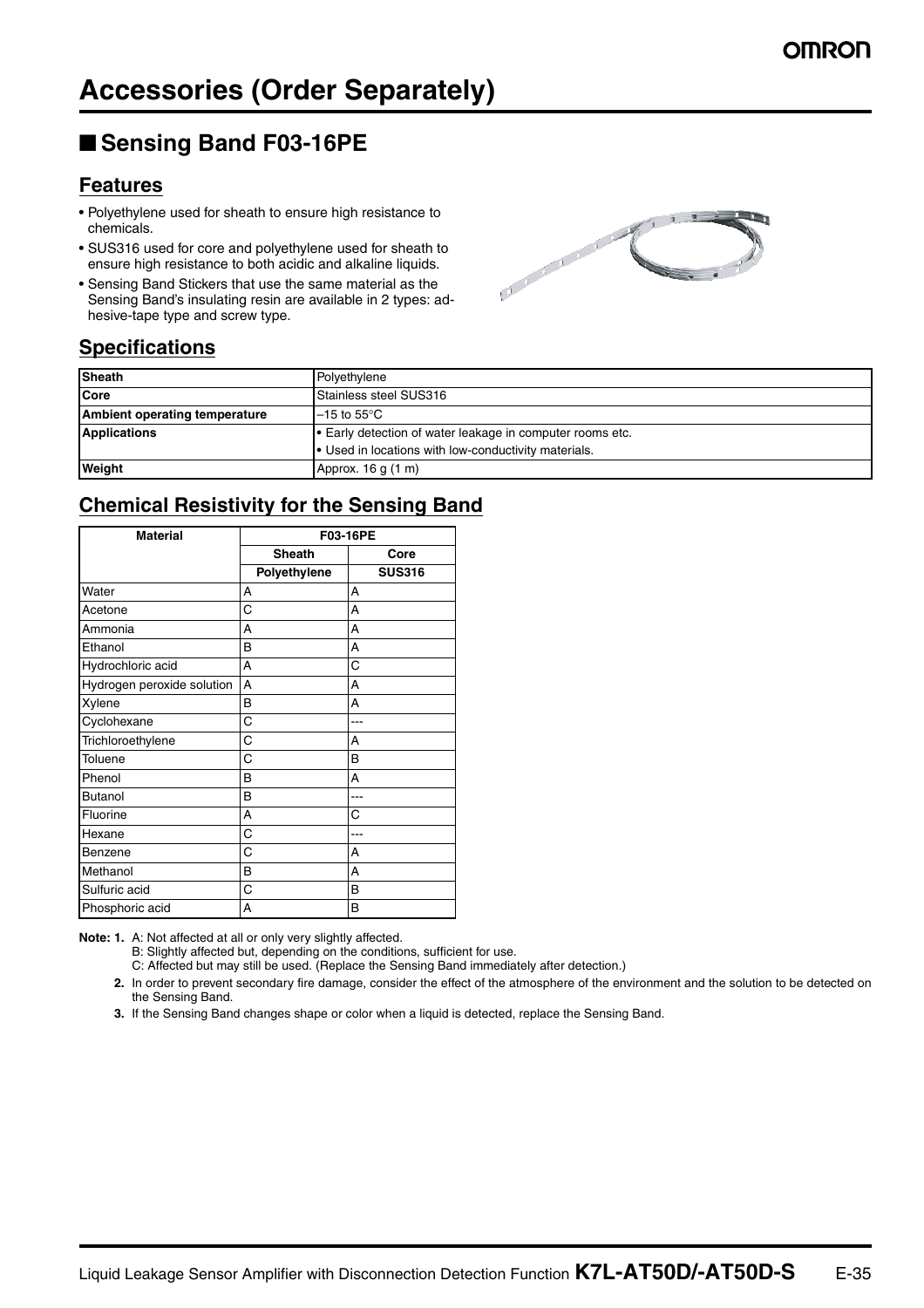## ■ Sensing Band F03-16PE

### **Features**

- Polyethylene used for sheath to ensure high resistance to chemicals.
- SUS316 used for core and polyethylene used for sheath to ensure high resistance to both acidic and alkaline liquids.
- Sensing Band Stickers that use the same material as the Sensing Band's insulating resin are available in 2 types: adhesive-tape type and screw type.



### **Specifications**

| <b>Sheath</b>                 | Polyethylene                                              |  |
|-------------------------------|-----------------------------------------------------------|--|
| Core                          | Stainless steel SUS316                                    |  |
| Ambient operating temperature | $-15$ to $55^{\circ}$ C                                   |  |
| <b>Applications</b>           | • Early detection of water leakage in computer rooms etc. |  |
|                               | • Used in locations with low-conductivity materials.      |  |
| <b>Weight</b>                 | Approx. 16 g (1 m)                                        |  |

### **Chemical Resistivity for the Sensing Band**

| <b>Material</b>            | F03-16PE      |               |
|----------------------------|---------------|---------------|
|                            | <b>Sheath</b> | Core          |
|                            | Polyethylene  | <b>SUS316</b> |
| Water                      | A             | A             |
| Acetone                    | C             | А             |
| Ammonia                    | A             | A             |
| Ethanol                    | B             | А             |
| Hydrochloric acid          | A             | C             |
| Hydrogen peroxide solution | A             | А             |
| Xylene                     | B             | A             |
| Cyclohexane                | C             |               |
| Trichloroethylene          | C             | A             |
| Toluene                    | C             | B             |
| Phenol                     | B             | А             |
| <b>Butanol</b>             | B             | ---           |
| Fluorine                   | A             | C             |
| Hexane                     | C             |               |
| Benzene                    | С             | А             |
| Methanol                   | B             | A             |
| Sulfuric acid              | C             | B             |
| Phosphoric acid            | A             | B             |

**Note: 1.** A: Not affected at all or only very slightly affected.

B: Slightly affected but, depending on the conditions, sufficient for use.

- C: Affected but may still be used. (Replace the Sensing Band immediately after detection.)
- **2.** In order to prevent secondary fire damage, consider the effect of the atmosphere of the environment and the solution to be detected on the Sensing Band.
- **3.** If the Sensing Band changes shape or color when a liquid is detected, replace the Sensing Band.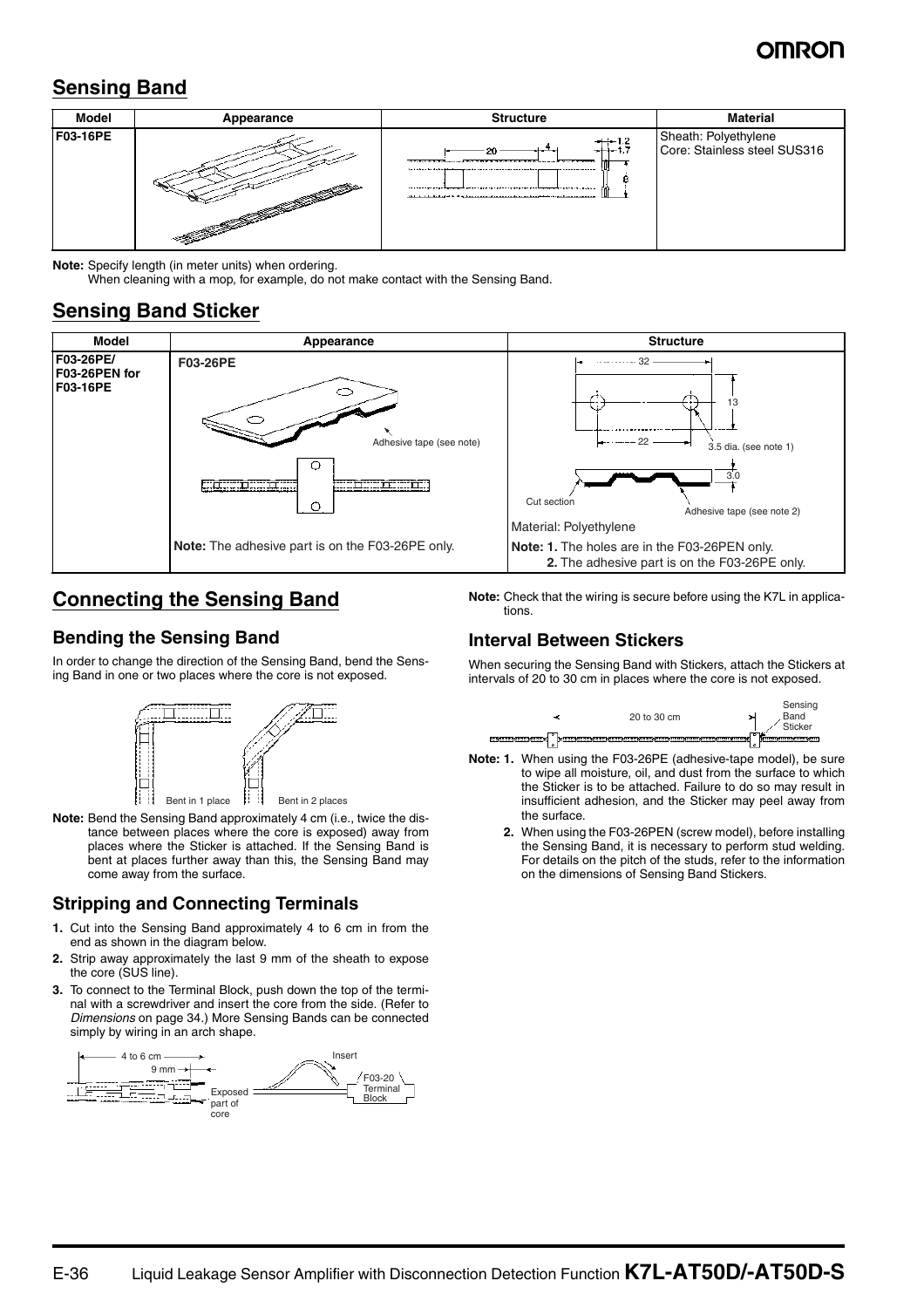## **Sensing Band**



**Note:** Specify length (in meter units) when ordering.

When cleaning with a mop, for example, do not make contact with the Sensing Band.

### **Sensing Band Sticker**



### **Connecting the Sensing Band**

### **Bending the Sensing Band**

In order to change the direction of the Sensing Band, bend the Sensing Band in one or two places where the core is not exposed.



**Note:** Bend the Sensing Band approximately 4 cm (i.e., twice the distance between places where the core is exposed) away from places where the Sticker is attached. If the Sensing Band is bent at places further away than this, the Sensing Band may come away from the surface.

### **Stripping and Connecting Terminals**

- **1.** Cut into the Sensing Band approximately 4 to 6 cm in from the end as shown in the diagram below.
- **2.** Strip away approximately the last 9 mm of the sheath to expose the core (SUS line).
- **3.** To connect to the Terminal Block, push down the top of the terminal with a screwdriver and insert the core from the side. (Refer to *Dimensions* on page 34.) More Sensing Bands can be connected simply by wiring in an arch shape.



**Note:** Check that the wiring is secure before using the K7L in applications.

### **Interval Between Stickers**

When securing the Sensing Band with Stickers, attach the Stickers at intervals of 20 to 30 cm in places where the core is not exposed.



- **Note: 1.** When using the F03-26PE (adhesive-tape model), be sure to wipe all moisture, oil, and dust from the surface to which the Sticker is to be attached. Failure to do so may result in insufficient adhesion, and the Sticker may peel away from the surface.
	- **2.** When using the F03-26PEN (screw model), before installing the Sensing Band, it is necessary to perform stud welding. For details on the pitch of the studs, refer to the information on the dimensions of Sensing Band Stickers.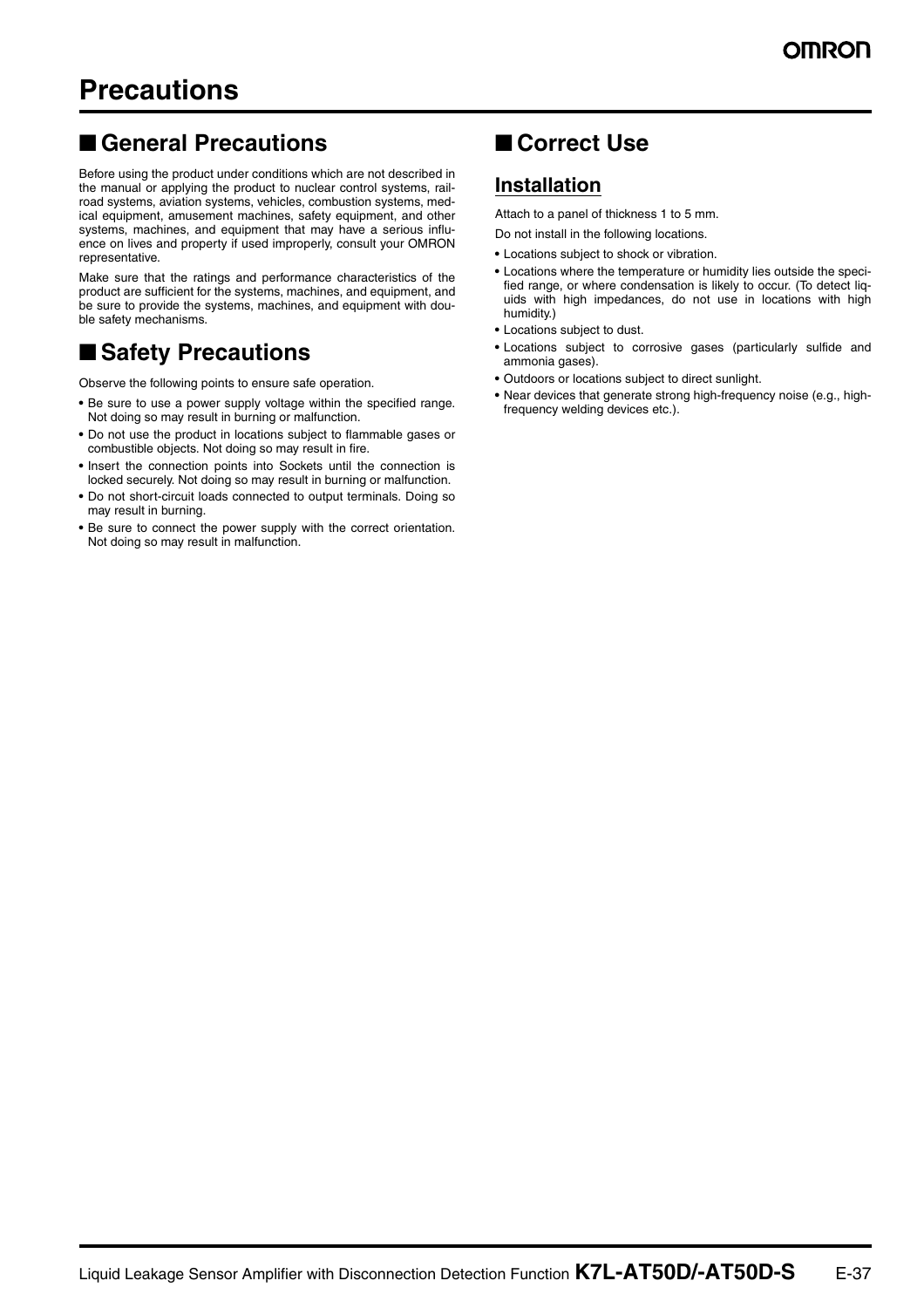## ■ General Precautions

Before using the product under conditions which are not described in the manual or applying the product to nuclear control systems, railroad systems, aviation systems, vehicles, combustion systems, medical equipment, amusement machines, safety equipment, and other systems, machines, and equipment that may have a serious influence on lives and property if used improperly, consult your OMRON representative.

Make sure that the ratings and performance characteristics of the product are sufficient for the systems, machines, and equipment, and be sure to provide the systems, machines, and equipment with double safety mechanisms.

## ■ Safety Precautions

Observe the following points to ensure safe operation.

- **•** Be sure to use a power supply voltage within the specified range. Not doing so may result in burning or malfunction.
- **•** Do not use the product in locations subject to flammable gases or combustible objects. Not doing so may result in fire.
- **•** Insert the connection points into Sockets until the connection is locked securely. Not doing so may result in burning or malfunction.
- **•** Do not short-circuit loads connected to output terminals. Doing so may result in burning.
- **•** Be sure to connect the power supply with the correct orientation. Not doing so may result in malfunction.

# ■ **Correct Use**

## **Installation**

Attach to a panel of thickness 1 to 5 mm.

Do not install in the following locations.

- **•** Locations subject to shock or vibration.
- **•** Locations where the temperature or humidity lies outside the specified range, or where condensation is likely to occur. (To detect liquids with high impedances, do not use in locations with high humidity.)
- **•** Locations subject to dust.
- **•** Locations subject to corrosive gases (particularly sulfide and ammonia gases).
- **•** Outdoors or locations subject to direct sunlight.
- **•** Near devices that generate strong high-frequency noise (e.g., highfrequency welding devices etc.).